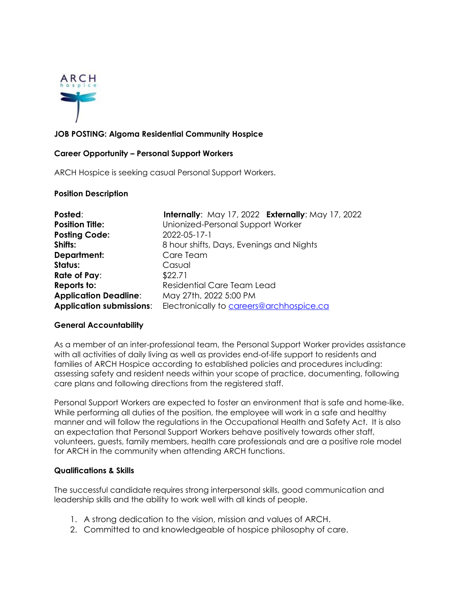

## **JOB POSTING: Algoma Residential Community Hospice**

#### **Career Opportunity – Personal Support Workers**

ARCH Hospice is seeking casual Personal Support Workers.

#### **Position Description**

| Posted:                         | Internally: May 17, 2022 Externally: May 17, 2022 |
|---------------------------------|---------------------------------------------------|
| <b>Position Title:</b>          | Unionized-Personal Support Worker                 |
| <b>Posting Code:</b>            | 2022-05-17-1                                      |
| Shifts:                         | 8 hour shifts, Days, Evenings and Nights          |
| Department:                     | Care Team                                         |
| Status:                         | Casual                                            |
| Rate of Pay:                    | \$22.71                                           |
| Reports to:                     | Residential Care Team Lead                        |
| <b>Application Deadline:</b>    | May 27th, 2022 5:00 PM                            |
| <b>Application submissions:</b> | Electronically to careers@archhospice.ca          |

### **General Accountability**

As a member of an inter-professional team, the Personal Support Worker provides assistance with all activities of daily living as well as provides end-of-life support to residents and families of ARCH Hospice according to established policies and procedures including: assessing safety and resident needs within your scope of practice, documenting, following care plans and following directions from the registered staff.

Personal Support Workers are expected to foster an environment that is safe and home-like. While performing all duties of the position, the employee will work in a safe and healthy manner and will follow the regulations in the Occupational Health and Safety Act. It is also an expectation that Personal Support Workers behave positively towards other staff, volunteers, guests, family members, health care professionals and are a positive role model for ARCH in the community when attending ARCH functions.

### **Qualifications & Skills**

The successful candidate requires strong interpersonal skills, good communication and leadership skills and the ability to work well with all kinds of people.

- 1. A strong dedication to the vision, mission and values of ARCH.
- 2. Committed to and knowledgeable of hospice philosophy of care.